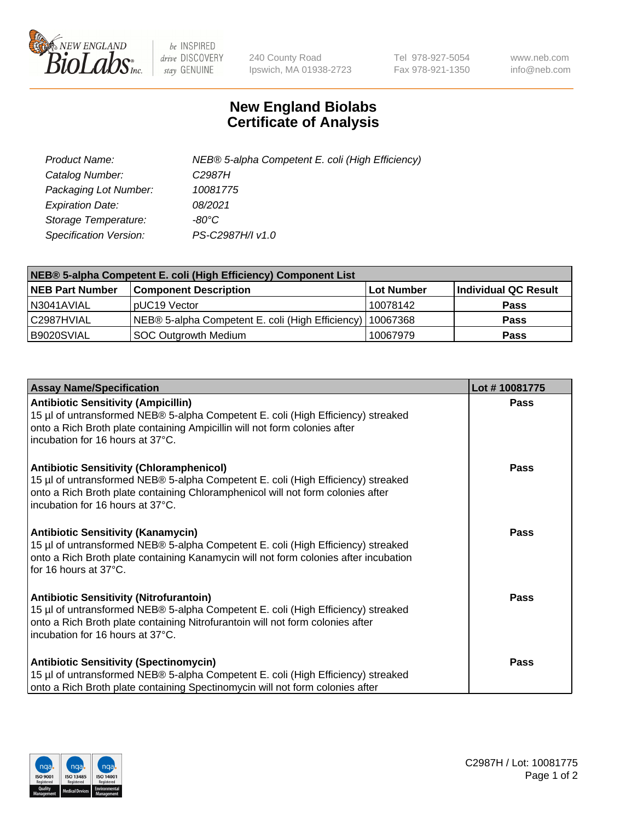

 $be$  INSPIRED drive DISCOVERY stay GENUINE

240 County Road Ipswich, MA 01938-2723 Tel 978-927-5054 Fax 978-921-1350 www.neb.com info@neb.com

## **New England Biolabs Certificate of Analysis**

| Product Name:                 | NEB® 5-alpha Competent E. coli (High Efficiency) |
|-------------------------------|--------------------------------------------------|
| Catalog Number:               | C <sub>2987</sub> H                              |
| Packaging Lot Number:         | 10081775                                         |
| <b>Expiration Date:</b>       | 08/2021                                          |
| Storage Temperature:          | -80°C                                            |
| <b>Specification Version:</b> | PS-C2987H/I v1.0                                 |

| NEB® 5-alpha Competent E. coli (High Efficiency) Component List |                                                  |            |                      |  |
|-----------------------------------------------------------------|--------------------------------------------------|------------|----------------------|--|
| <b>NEB Part Number</b>                                          | <b>Component Description</b>                     | Lot Number | Individual QC Result |  |
| N3041AVIAL                                                      | pUC19 Vector                                     | 10078142   | <b>Pass</b>          |  |
| C2987HVIAL                                                      | NEB® 5-alpha Competent E. coli (High Efficiency) | 10067368   | <b>Pass</b>          |  |
| B9020SVIAL                                                      | SOC Outgrowth Medium                             | 10067979   | <b>Pass</b>          |  |

| <b>Assay Name/Specification</b>                                                                                                                                                                                                                            | Lot #10081775 |
|------------------------------------------------------------------------------------------------------------------------------------------------------------------------------------------------------------------------------------------------------------|---------------|
| <b>Antibiotic Sensitivity (Ampicillin)</b><br>15 µl of untransformed NEB® 5-alpha Competent E. coli (High Efficiency) streaked<br>onto a Rich Broth plate containing Ampicillin will not form colonies after<br>incubation for 16 hours at 37°C.           | Pass          |
| <b>Antibiotic Sensitivity (Chloramphenicol)</b><br>15 µl of untransformed NEB® 5-alpha Competent E. coli (High Efficiency) streaked<br>onto a Rich Broth plate containing Chloramphenicol will not form colonies after<br>incubation for 16 hours at 37°C. | Pass          |
| Antibiotic Sensitivity (Kanamycin)<br>15 µl of untransformed NEB® 5-alpha Competent E. coli (High Efficiency) streaked<br>onto a Rich Broth plate containing Kanamycin will not form colonies after incubation<br>for 16 hours at 37°C.                    | Pass          |
| <b>Antibiotic Sensitivity (Nitrofurantoin)</b><br>15 µl of untransformed NEB® 5-alpha Competent E. coli (High Efficiency) streaked<br>onto a Rich Broth plate containing Nitrofurantoin will not form colonies after<br>incubation for 16 hours at 37°C.   | <b>Pass</b>   |
| <b>Antibiotic Sensitivity (Spectinomycin)</b><br>15 µl of untransformed NEB® 5-alpha Competent E. coli (High Efficiency) streaked<br>onto a Rich Broth plate containing Spectinomycin will not form colonies after                                         | Pass          |